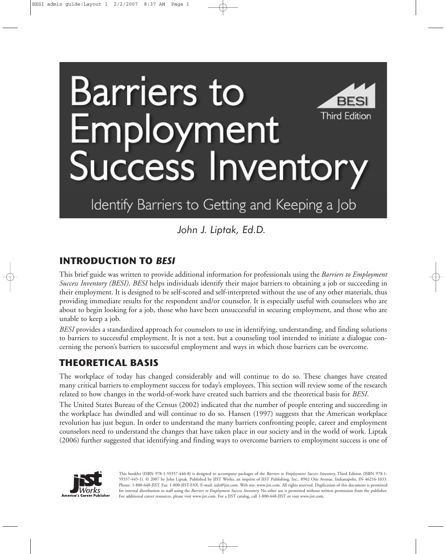# **Barriers to** RFS **Third Edition** oyment uccess Inventory

## Identify Barriers to Getting and Keeping a Job

*John J. Liptak, Ed.D.*

## **INTRODUCTION TO** *BESI*

This brief guide was written to provide additional information for professionals using the *Barriers to Employment Success Inventory (BESI)*. *BESI* helps individuals identify their major barriers to obtaining a job or succeeding in their employment. It is designed to be self-scored and self-interpreted without the use of any other materials, thus providing immediate results for the respondent and/or counselor. It is especially useful with counselees who are about to begin looking for a job, those who have been unsuccessful in securing employment, and those who are unable to keep a job.

*BESI* provides a standardized approach for counselors to use in identifying, understanding, and finding solutions to barriers to successful employment. It is not a test, but a counseling tool intended to initiate a dialogue concerning the person's barriers to successful employment and ways in which those barriers can be overcome.

## **THEORETICAL BASIS**

The workplace of today has changed considerably and will continue to do so. These changes have created many critical barriers to employment success for today's employees. This section will review some of the research related to how changes in the world-of-work have created such barriers and the theoretical basis for *BESI*.

The United States Bureau of the Census (2002) indicated that the number of people entering and succeeding in the workplace has dwindled and will continue to do so. Hansen (1997) suggests that the American workplace revolution has just begun. In order to understand the many barriers confronting people, career and employment counselors need to understand the changes that have taken place in our society and in the world of work. Liptak (2006) further suggested that identifying and finding ways to overcome barriers to employment success is one of



This booklet (ISBN 978-1-59357-446-8) is designed to accompany packages of the *Barriers to Employment Success Inventory,* Third Edition (ISBN 978-1- 59357-445-1). © 2007 by John Liptak. Published by JIST Works, an imprint of JIST Publishing, Inc., 8902 Otis Avenue, Indianapolis, IN 46216-1033. Phone: 1-800-648-JIST. Fax: 1-800-JIST-FAX. E-mail: info@jist.com. Web site: www.jist.com. All rights reserved. Duplication of this document is permitted for internal distribution to staff using the *Barriers to Employment Success Inventory.* No other use is permitted without written permission from the publisher. For additional career resources, please visit www.jist.com. For a JIST catalog, call 1-800-648-JIST or visit www.jist.com.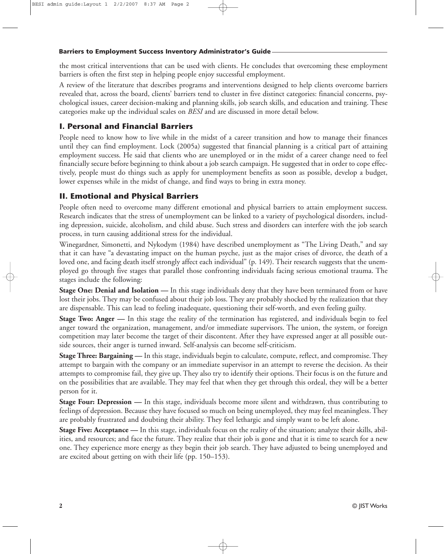the most critical interventions that can be used with clients. He concludes that overcoming these employment barriers is often the first step in helping people enjoy successful employment.

A review of the literature that describes programs and interventions designed to help clients overcome barriers revealed that, across the board, clients' barriers tend to cluster in five distinct categories: financial concerns, psychological issues, career decision-making and planning skills, job search skills, and education and training. These categories make up the individual scales on *BESI* and are discussed in more detail below.

#### **I. Personal and Financial Barriers**

People need to know how to live while in the midst of a career transition and how to manage their finances until they can find employment. Lock (2005a) suggested that financial planning is a critical part of attaining employment success. He said that clients who are unemployed or in the midst of a career change need to feel financially secure before beginning to think about a job search campaign. He suggested that in order to cope effectively, people must do things such as apply for unemployment benefits as soon as possible, develop a budget, lower expenses while in the midst of change, and find ways to bring in extra money.

#### **II. Emotional and Physical Barriers**

People often need to overcome many different emotional and physical barriers to attain employment success. Research indicates that the stress of unemployment can be linked to a variety of psychological disorders, including depression, suicide, alcoholism, and child abuse. Such stress and disorders can interfere with the job search process, in turn causing additional stress for the individual.

Winegardner, Simonetti, and Nykodym (1984) have described unemployment as "The Living Death," and say that it can have "a devastating impact on the human psyche, just as the major crises of divorce, the death of a loved one, and facing death itself strongly affect each individual" (p. 149). Their research suggests that the unemployed go through five stages that parallel those confronting individuals facing serious emotional trauma. The stages include the following:

**Stage One: Denial and Isolation —** In this stage individuals deny that they have been terminated from or have lost their jobs. They may be confused about their job loss. They are probably shocked by the realization that they are dispensable. This can lead to feeling inadequate, questioning their self-worth, and even feeling guilty.

**Stage Two: Anger —** In this stage the reality of the termination has registered, and individuals begin to feel anger toward the organization, management, and/or immediate supervisors. The union, the system, or foreign competition may later become the target of their discontent. After they have expressed anger at all possible outside sources, their anger is turned inward. Self-analysis can become self-criticism.

**Stage Three: Bargaining —** In this stage, individuals begin to calculate, compute, reflect, and compromise. They attempt to bargain with the company or an immediate supervisor in an attempt to reverse the decision. As their attempts to compromise fail, they give up. They also try to identify their options. Their focus is on the future and on the possibilities that are available. They may feel that when they get through this ordeal, they will be a better person for it.

**Stage Four: Depression** — In this stage, individuals become more silent and withdrawn, thus contributing to feelings of depression. Because they have focused so much on being unemployed, they may feel meaningless. They are probably frustrated and doubting their ability. They feel lethargic and simply want to be left alone.

**Stage Five: Acceptance —** In this stage, individuals focus on the reality of the situation; analyze their skills, abilities, and resources; and face the future. They realize that their job is gone and that it is time to search for a new one. They experience more energy as they begin their job search. They have adjusted to being unemployed and are excited about getting on with their life (pp. 150–153).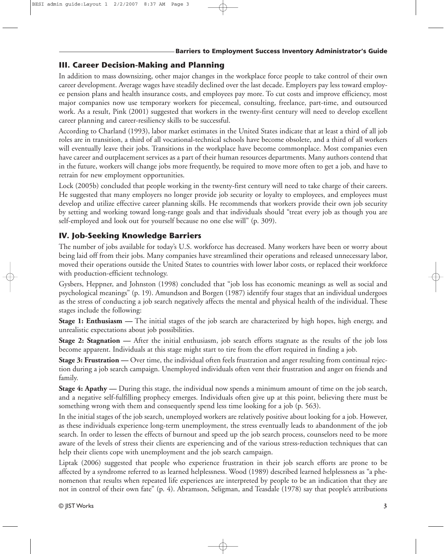#### **III. Career Decision-Making and Planning**

In addition to mass downsizing, other major changes in the workplace force people to take control of their own career development. Average wages have steadily declined over the last decade. Employers pay less toward employee pension plans and health insurance costs, and employees pay more. To cut costs and improve efficiency, most major companies now use temporary workers for piecemeal, consulting, freelance, part-time, and outsourced work. As a result, Pink (2001) suggested that workers in the twenty-first century will need to develop excellent career planning and career-resiliency skills to be successful.

According to Charland (1993), labor market estimates in the United States indicate that at least a third of all job roles are in transition, a third of all vocational-technical schools have become obsolete, and a third of all workers will eventually leave their jobs. Transitions in the workplace have become commonplace. Most companies even have career and outplacement services as a part of their human resources departments. Many authors contend that in the future, workers will change jobs more frequently, be required to move more often to get a job, and have to retrain for new employment opportunities.

Lock (2005b) concluded that people working in the twenty-first century will need to take charge of their careers. He suggested that many employers no longer provide job security or loyalty to employees, and employees must develop and utilize effective career planning skills. He recommends that workers provide their own job security by setting and working toward long-range goals and that individuals should "treat every job as though you are self-employed and look out for yourself because no one else will" (p. 309).

#### **IV. Job-Seeking Knowledge Barriers**

The number of jobs available for today's U.S. workforce has decreased. Many workers have been or worry about being laid off from their jobs. Many companies have streamlined their operations and released unnecessary labor, moved their operations outside the United States to countries with lower labor costs, or replaced their workforce with production-efficient technology.

Gysbers, Heppner, and Johnston (1998) concluded that "job loss has economic meanings as well as social and psychological meanings" (p. 19). Amundson and Borgen (1987) identify four stages that an individual undergoes as the stress of conducting a job search negatively affects the mental and physical health of the individual. These stages include the following:

**Stage 1: Enthusiasm —** The initial stages of the job search are characterized by high hopes, high energy, and unrealistic expectations about job possibilities.

**Stage 2: Stagnation —** After the initial enthusiasm, job search efforts stagnate as the results of the job loss become apparent. Individuals at this stage might start to tire from the effort required in finding a job.

**Stage 3: Frustration —** Over time, the individual often feels frustration and anger resulting from continual rejection during a job search campaign. Unemployed individuals often vent their frustration and anger on friends and family.

**Stage 4: Apathy —** During this stage, the individual now spends a minimum amount of time on the job search, and a negative self-fulfilling prophecy emerges. Individuals often give up at this point, believing there must be something wrong with them and consequently spend less time looking for a job (p. 563).

In the initial stages of the job search, unemployed workers are relatively positive about looking for a job. However, as these individuals experience long-term unemployment, the stress eventually leads to abandonment of the job search. In order to lessen the effects of burnout and speed up the job search process, counselors need to be more aware of the levels of stress their clients are experiencing and of the various stress-reduction techniques that can help their clients cope with unemployment and the job search campaign.

Liptak (2006) suggested that people who experience frustration in their job search efforts are prone to be affected by a syndrome referred to as learned helplessness. Wood (1989) described learned helplessness as "a phenomenon that results when repeated life experiences are interpreted by people to be an indication that they are not in control of their own fate" (p. 4). Abramson, Seligman, and Teasdale (1978) say that people's attributions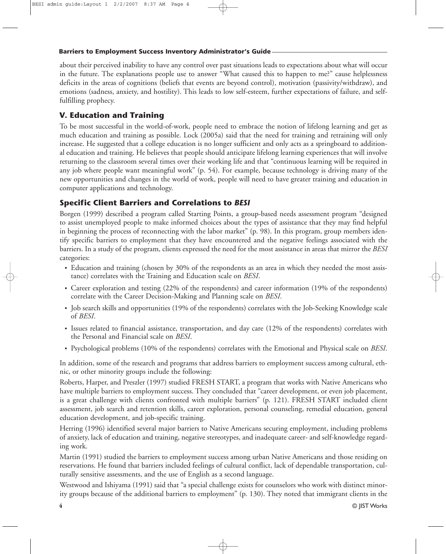about their perceived inability to have any control over past situations leads to expectations about what will occur in the future. The explanations people use to answer "What caused this to happen to me?" cause helplessness deficits in the areas of cognitions (beliefs that events are beyond control), motivation (passivity/withdraw), and emotions (sadness, anxiety, and hostility). This leads to low self-esteem, further expectations of failure, and selffulfilling prophecy.

#### **V. Education and Training**

To be most successful in the world-of-work, people need to embrace the notion of lifelong learning and get as much education and training as possible. Lock (2005a) said that the need for training and retraining will only increase. He suggested that a college education is no longer sufficient and only acts as a springboard to additional education and training. He believes that people should anticipate lifelong learning experiences that will involve returning to the classroom several times over their working life and that "continuous learning will be required in any job where people want meaningful work" (p. 54). For example, because technology is driving many of the new opportunities and changes in the world of work, people will need to have greater training and education in computer applications and technology.

#### **Specific Client Barriers and Correlations to** *BESI*

Borgen (1999) described a program called Starting Points, a group-based needs assessment program "designed to assist unemployed people to make informed choices about the types of assistance that they may find helpful in beginning the process of reconnecting with the labor market" (p. 98). In this program, group members identify specific barriers to employment that they have encountered and the negative feelings associated with the barriers. In a study of the program, clients expressed the need for the most assistance in areas that mirror the *BESI* categories:

- Education and training (chosen by 30% of the respondents as an area in which they needed the most assistance) correlates with the Training and Education scale on *BESI*.
- Career exploration and testing (22% of the respondents) and career information (19% of the respondents) correlate with the Career Decision-Making and Planning scale on *BESI*.
- Job search skills and opportunities (19% of the respondents) correlates with the Job-Seeking Knowledge scale of *BESI*.
- Issues related to financial assistance, transportation, and day care (12% of the respondents) correlates with the Personal and Financial scale on *BESI*.
- Psychological problems (10% of the respondents) correlates with the Emotional and Physical scale on *BESI*.

In addition, some of the research and programs that address barriers to employment success among cultural, ethnic, or other minority groups include the following:

Roberts, Harper, and Preszler (1997) studied FRESH START, a program that works with Native Americans who have multiple barriers to employment success. They concluded that "career development, or even job placement, is a great challenge with clients confronted with multiple barriers" (p. 121). FRESH START included client assessment, job search and retention skills, career exploration, personal counseling, remedial education, general education development, and job-specific training.

Herring (1996) identified several major barriers to Native Americans securing employment, including problems of anxiety, lack of education and training, negative stereotypes, and inadequate career- and self-knowledge regarding work.

Martin (1991) studied the barriers to employment success among urban Native Americans and those residing on reservations. He found that barriers included feelings of cultural conflict, lack of dependable transportation, culturally sensitive assessments, and the use of English as a second language.

Westwood and Ishiyama (1991) said that "a special challenge exists for counselors who work with distinct minority groups because of the additional barriers to employment" (p. 130). They noted that immigrant clients in the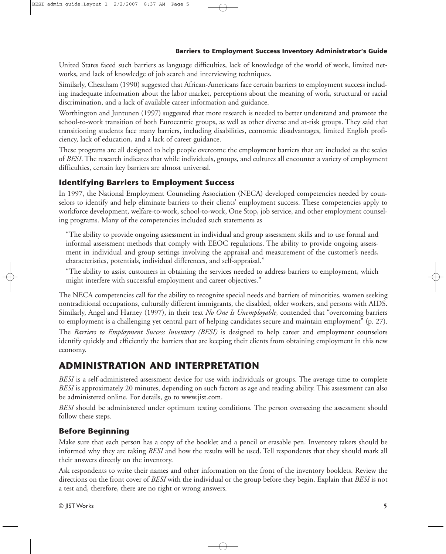United States faced such barriers as language difficulties, lack of knowledge of the world of work, limited networks, and lack of knowledge of job search and interviewing techniques.

Similarly, Cheatham (1990) suggested that African-Americans face certain barriers to employment success including inadequate information about the labor market, perceptions about the meaning of work, structural or racial discrimination, and a lack of available career information and guidance.

Worthington and Juntunen (1997) suggested that more research is needed to better understand and promote the school-to-work transition of both Eurocentric groups, as well as other diverse and at-risk groups. They said that transitioning students face many barriers, including disabilities, economic disadvantages, limited English proficiency, lack of education, and a lack of career guidance.

These programs are all designed to help people overcome the employment barriers that are included as the scales of *BESI*. The research indicates that while individuals, groups, and cultures all encounter a variety of employment difficulties, certain key barriers are almost universal.

#### **Identifying Barriers to Employment Success**

In 1997, the National Employment Counseling Association (NECA) developed competencies needed by counselors to identify and help eliminate barriers to their clients' employment success. These competencies apply to workforce development, welfare-to-work, school-to-work, One Stop, job service, and other employment counseling programs. Many of the competencies included such statements as

"The ability to provide ongoing assessment in individual and group assessment skills and to use formal and informal assessment methods that comply with EEOC regulations. The ability to provide ongoing assessment in individual and group settings involving the appraisal and measurement of the customer's needs, characteristics, potentials, individual differences, and self-appraisal."

"The ability to assist customers in obtaining the services needed to address barriers to employment, which might interfere with successful employment and career objectives."

The NECA competencies call for the ability to recognize special needs and barriers of minorities, women seeking nontraditional occupations, culturally different immigrants, the disabled, older workers, and persons with AIDS. Similarly, Angel and Harney (1997), in their text *No One Is Unemployable,* contended that "overcoming barriers to employment is a challenging yet central part of helping candidates secure and maintain employment" (p. 27). The *Barriers to Employment Success Inventory (BESI)* is designed to help career and employment counselors identify quickly and efficiently the barriers that are keeping their clients from obtaining employment in this new economy.

## **ADMINISTRATION AND INTERPRETATION**

*BESI* is a self-administered assessment device for use with individuals or groups. The average time to complete *BESI* is approximately 20 minutes, depending on such factors as age and reading ability. This assessment can also be administered online. For details, go to www.jist.com.

*BESI* should be administered under optimum testing conditions. The person overseeing the assessment should follow these steps.

#### **Before Beginning**

Make sure that each person has a copy of the booklet and a pencil or erasable pen. Inventory takers should be informed why they are taking *BESI* and how the results will be used. Tell respondents that they should mark all their answers directly on the inventory.

Ask respondents to write their names and other information on the front of the inventory booklets. Review the directions on the front cover of *BESI* with the individual or the group before they begin. Explain that *BESI* is not a test and, therefore, there are no right or wrong answers.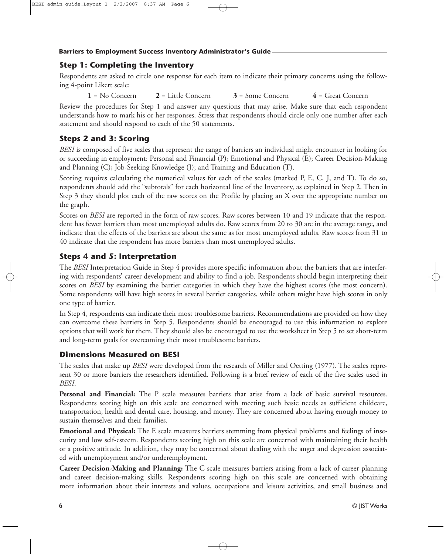#### **Step 1: Completing the Inventory**

Respondents are asked to circle one response for each item to indicate their primary concerns using the following 4-point Likert scale:

 $1 = No Concern$  **2** = Little Concern **3** = Some Concern **4** = Great Concern

Review the procedures for Step 1 and answer any questions that may arise. Make sure that each respondent understands how to mark his or her responses. Stress that respondents should circle only one number after each statement and should respond to each of the 50 statements.

#### **Steps 2 and 3: Scoring**

*BESI* is composed of five scales that represent the range of barriers an individual might encounter in looking for or succeeding in employment: Personal and Financial (P); Emotional and Physical (E); Career Decision-Making and Planning (C); Job-Seeking Knowledge (J); and Training and Education (T).

Scoring requires calculating the numerical values for each of the scales (marked P, E, C, J, and T). To do so, respondents should add the "subtotals" for each horizontal line of the Inventory, as explained in Step 2. Then in Step 3 they should plot each of the raw scores on the Profile by placing an X over the appropriate number on the graph.

Scores on *BESI* are reported in the form of raw scores. Raw scores between 10 and 19 indicate that the respondent has fewer barriers than most unemployed adults do. Raw scores from 20 to 30 are in the average range, and indicate that the effects of the barriers are about the same as for most unemployed adults. Raw scores from 31 to 40 indicate that the respondent has more barriers than most unemployed adults.

#### **Steps 4 and 5: Interpretation**

The *BESI* Interpretation Guide in Step 4 provides more specific information about the barriers that are interfering with respondents' career development and ability to find a job. Respondents should begin interpreting their scores on *BESI* by examining the barrier categories in which they have the highest scores (the most concern). Some respondents will have high scores in several barrier categories, while others might have high scores in only one type of barrier.

In Step 4, respondents can indicate their most troublesome barriers. Recommendations are provided on how they can overcome these barriers in Step 5. Respondents should be encouraged to use this information to explore options that will work for them. They should also be encouraged to use the worksheet in Step 5 to set short-term and long-term goals for overcoming their most troublesome barriers.

#### **Dimensions Measured on BESI**

The scales that make up *BESI* were developed from the research of Miller and Oetting (1977). The scales represent 30 or more barriers the researchers identified. Following is a brief review of each of the five scales used in *BESI*.

**Personal and Financial:** The P scale measures barriers that arise from a lack of basic survival resources. Respondents scoring high on this scale are concerned with meeting such basic needs as sufficient childcare, transportation, health and dental care, housing, and money. They are concerned about having enough money to sustain themselves and their families.

**Emotional and Physical:** The E scale measures barriers stemming from physical problems and feelings of insecurity and low self-esteem. Respondents scoring high on this scale are concerned with maintaining their health or a positive attitude. In addition, they may be concerned about dealing with the anger and depression associated with unemployment and/or underemployment.

**Career Decision-Making and Planning:** The C scale measures barriers arising from a lack of career planning and career decision-making skills. Respondents scoring high on this scale are concerned with obtaining more information about their interests and values, occupations and leisure activities, and small business and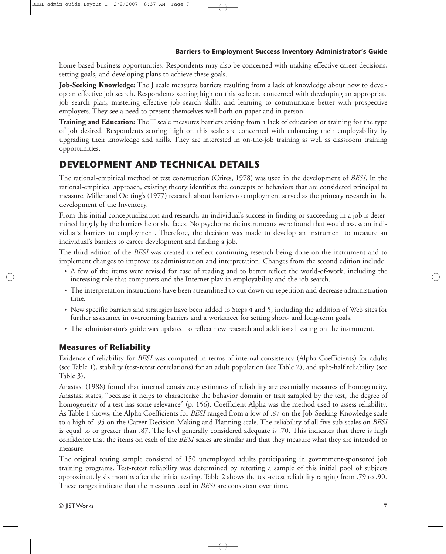home-based business opportunities. Respondents may also be concerned with making effective career decisions, setting goals, and developing plans to achieve these goals.

**Job-Seeking Knowledge:** The J scale measures barriers resulting from a lack of knowledge about how to develop an effective job search. Respondents scoring high on this scale are concerned with developing an appropriate job search plan, mastering effective job search skills, and learning to communicate better with prospective employers. They see a need to present themselves well both on paper and in person.

**Training and Education:** The T scale measures barriers arising from a lack of education or training for the type of job desired. Respondents scoring high on this scale are concerned with enhancing their employability by upgrading their knowledge and skills. They are interested in on-the-job training as well as classroom training opportunities.

## **DEVELOPMENT AND TECHNICAL DETAILS**

The rational-empirical method of test construction (Crites, 1978) was used in the development of *BESI*. In the rational-empirical approach, existing theory identifies the concepts or behaviors that are considered principal to measure. Miller and Oetting's (1977) research about barriers to employment served as the primary research in the development of the Inventory.

From this initial conceptualization and research, an individual's success in finding or succeeding in a job is determined largely by the barriers he or she faces. No psychometric instruments were found that would assess an individual's barriers to employment. Therefore, the decision was made to develop an instrument to measure an individual's barriers to career development and finding a job.

The third edition of the *BESI* was created to reflect continuing research being done on the instrument and to implement changes to improve its administration and interpretation. Changes from the second edition include

- A few of the items were revised for ease of reading and to better reflect the world-of-work, including the increasing role that computers and the Internet play in employability and the job search.
- The interpretation instructions have been streamlined to cut down on repetition and decrease administration time.
- New specific barriers and strategies have been added to Steps 4 and 5, including the addition of Web sites for further assistance in overcoming barriers and a worksheet for setting short- and long-term goals.
- The administrator's guide was updated to reflect new research and additional testing on the instrument.

#### **Measures of Reliability**

Evidence of reliability for *BESI* was computed in terms of internal consistency (Alpha Coefficients) for adults (see Table 1), stability (test-retest correlations) for an adult population (see Table 2), and split-half reliability (see Table 3).

Anastasi (1988) found that internal consistency estimates of reliability are essentially measures of homogeneity. Anastasi states, "because it helps to characterize the behavior domain or trait sampled by the test, the degree of homogeneity of a test has some relevance" (p. 156). Coefficient Alpha was the method used to assess reliability. As Table 1 shows, the Alpha Coefficients for *BESI* ranged from a low of .87 on the Job-Seeking Knowledge scale to a high of .95 on the Career Decision-Making and Planning scale. The reliability of all five sub-scales on *BESI* is equal to or greater than .87. The level generally considered adequate is .70. This indicates that there is high confidence that the items on each of the *BESI* scales are similar and that they measure what they are intended to measure.

The original testing sample consisted of 150 unemployed adults participating in government-sponsored job training programs. Test-retest reliability was determined by retesting a sample of this initial pool of subjects approximately six months after the initial testing. Table 2 shows the test-retest reliability ranging from .79 to .90. These ranges indicate that the measures used in *BESI* are consistent over time.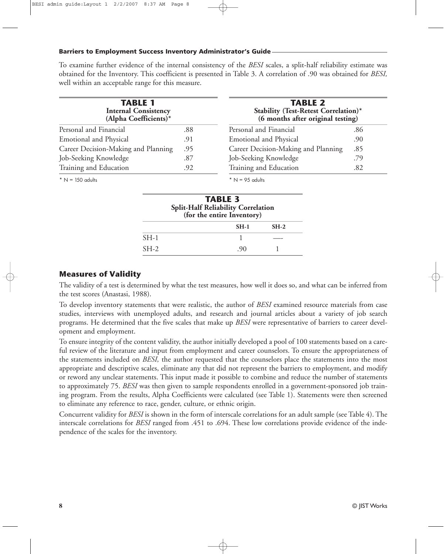To examine further evidence of the internal consistency of the *BESI* scales, a split-half reliability estimate was obtained for the Inventory. This coefficient is presented in Table 3. A correlation of .90 was obtained for *BESI,* well within an acceptable range for this measure.

| <b>TABLE 1</b><br><b>Internal Consistency</b><br>(Alpha Coefficients)* |     | <b>TABLE 2</b><br>Stability (Test-Retest Correlation)*<br>(6 months after original testing) |     |  |  |  |
|------------------------------------------------------------------------|-----|---------------------------------------------------------------------------------------------|-----|--|--|--|
| Personal and Financial                                                 | .88 | Personal and Financial                                                                      | .86 |  |  |  |
| <b>Emotional and Physical</b>                                          | .91 | Emotional and Physical                                                                      | .90 |  |  |  |
| Career Decision-Making and Planning                                    | .95 | Career Decision-Making and Planning                                                         | .85 |  |  |  |
| Job-Seeking Knowledge                                                  | .87 | Job-Seeking Knowledge                                                                       | .79 |  |  |  |
| Training and Education                                                 | .92 | Training and Education                                                                      | .82 |  |  |  |

 $* N = 150$  adults

 $* N = 95$  adults

|        | <b>TABLE 3</b><br><b>Split-Half Reliability Correlation</b><br>(for the entire Inventory) |        |
|--------|-------------------------------------------------------------------------------------------|--------|
|        | $SH-1$                                                                                    | $SH-2$ |
| $SH-1$ |                                                                                           |        |
| $SH-2$ | -90                                                                                       |        |

#### **Measures of Validity**

The validity of a test is determined by what the test measures, how well it does so, and what can be inferred from the test scores (Anastasi, 1988).

To develop inventory statements that were realistic, the author of *BESI* examined resource materials from case studies, interviews with unemployed adults, and research and journal articles about a variety of job search programs. He determined that the five scales that make up *BESI* were representative of barriers to career development and employment.

To ensure integrity of the content validity, the author initially developed a pool of 100 statements based on a careful review of the literature and input from employment and career counselors. To ensure the appropriateness of the statements included on *BESI,* the author requested that the counselors place the statements into the most appropriate and descriptive scales, eliminate any that did not represent the barriers to employment, and modify or reword any unclear statements. This input made it possible to combine and reduce the number of statements to approximately 75. *BESI* was then given to sample respondents enrolled in a government-sponsored job training program. From the results, Alpha Coefficients were calculated (see Table 1). Statements were then screened to eliminate any reference to race, gender, culture, or ethnic origin.

Concurrent validity for *BESI* is shown in the form of interscale correlations for an adult sample (see Table 4). The interscale correlations for *BESI* ranged from .451 to .694. These low correlations provide evidence of the independence of the scales for the inventory.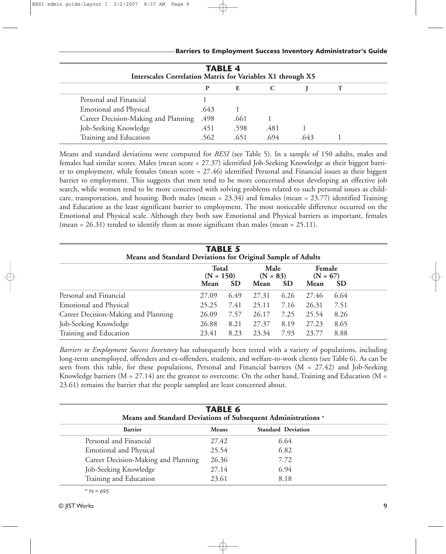| <b>TABLE 4</b><br><b>Interscales Correlation Matrix for Variables X1 through X5</b> |      |      |      |     |  |  |
|-------------------------------------------------------------------------------------|------|------|------|-----|--|--|
|                                                                                     | P    | E    |      |     |  |  |
| Personal and Financial                                                              |      |      |      |     |  |  |
| <b>Emotional and Physical</b>                                                       | .643 |      |      |     |  |  |
| Career Decision-Making and Planning                                                 | .498 | .661 |      |     |  |  |
| Job-Seeking Knowledge                                                               | .451 | .598 | .481 |     |  |  |
| Training and Education                                                              | .562 | .651 | .694 | 643 |  |  |

Means and standard deviations were computed for *BESI* (see Table 5). In a sample of 150 adults, males and females had similar scores. Males (mean score = 27.37) identified Job-Seeking Knowledge as their biggest barrier to employment, while females (mean score = 27.46) identified Personal and Financial issues as their biggest barrier to employment. This suggests that men tend to be more concerned about developing an effective job search, while women tend to be more concerned with solving problems related to such personal issues as childcare, transportation, and housing. Both males (mean = 23.34) and females (mean = 23.77) identified Training and Education as the least significant barrier to employment. The most noticeable difference occurred on the Emotional and Physical scale. Although they both saw Emotional and Physical barriers as important, females (mean =  $26.31$ ) tended to identify them as more significant than males (mean =  $25.11$ ).

| Means and Standard Deviations for Original Sample of Adults | <b>TABLE 5</b>                                          |      |                    |           |                      |           |  |
|-------------------------------------------------------------|---------------------------------------------------------|------|--------------------|-----------|----------------------|-----------|--|
|                                                             | <b>Total</b><br>$(N = 150)$<br><b>SD</b><br><b>Mean</b> |      | Male<br>$(N = 83)$ |           | Female<br>$(N = 67)$ |           |  |
|                                                             |                                                         |      | Mean               | <b>SD</b> | <b>Mean</b>          | <b>SD</b> |  |
| Personal and Financial                                      | 27.09                                                   | 6.49 | 27.31              | 6.26      | 27.46                | 6.64      |  |
| <b>Emotional and Physical</b>                               | 25.25                                                   | 7.41 | 25.11              | 7.16      | 26.31                | 7.51      |  |
| Career Decision-Making and Planning                         | 26.09                                                   | 7.57 | 26.17              | 7.25      | 25.54                | 8.26      |  |
| Job-Seeking Knowledge                                       | 26.88                                                   | 8.21 | 27.37              | 8.19      | 27.23                | 8.65      |  |
| Training and Education                                      | 23.41                                                   | 8.23 | 23.34              | 7.93      | 23.77                | 8.88      |  |

*Barriers to Employment Success Inventory* has subsequently been tested with a variety of populations, including long-term unemployed, offenders and ex-offenders, students, and welfare-to-work clients (see Table 6). As can be seen from this table, for these populations, Personal and Financial barriers (M = 27.42) and Job-Seeking Knowledge barriers ( $M = 27.14$ ) are the greatest to overcome. On the other hand, Training and Education ( $M =$ 23.61) remains the barrier that the people sampled are least concerned about.

| <b>TABLE 6</b><br>Means and Standard Deviations of Subsequent Administrations * |              |                           |  |  |  |
|---------------------------------------------------------------------------------|--------------|---------------------------|--|--|--|
| <b>Barrier</b>                                                                  | <b>Means</b> | <b>Standard Deviation</b> |  |  |  |
| Personal and Financial                                                          | 27.42        | 6.64                      |  |  |  |
| <b>Emotional and Physical</b>                                                   | 25.54        | 6.82                      |  |  |  |
| Career Decision-Making and Planning                                             | 26.36        | 7.72                      |  |  |  |
| Job-Seeking Knowledge                                                           | 27.14        | 6.94                      |  |  |  |
| Training and Education                                                          | 23.61        | 8.18                      |  |  |  |

 $* N = 695$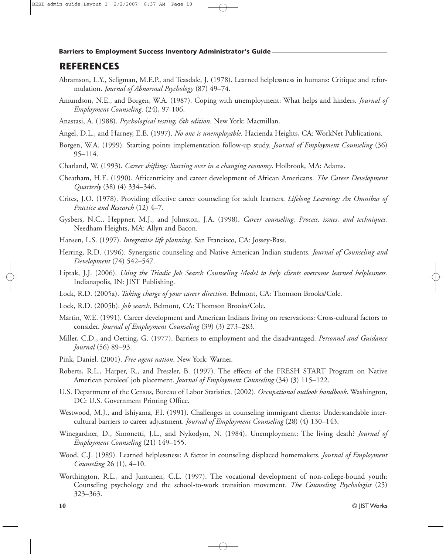### **REFERENCES**

- Abramson, L.Y., Seligman, M.E.P., and Teasdale, J. (1978). Learned helplessness in humans: Critique and reformulation. *Journal of Abnormal Psychology* (87) 49–74.
- Amundson, N.E., and Borgen, W.A. (1987). Coping with unemployment: What helps and hinders. *Journal of Employment Counseling,* (24), 97-106.
- Anastasi, A. (1988). *Psychological testing, 6th edition*. New York: Macmillan.
- Angel, D.L., and Harney, E.E. (1997). *No one is unemployable*. Hacienda Heights, CA: WorkNet Publications.
- Borgen, W.A. (1999). Starting points implementation follow-up study. *Journal of Employment Counseling* (36) 95–114.
- Charland, W. (1993). *Career shifting: Starting over in a changing economy*. Holbrook, MA: Adams.
- Cheatham, H.E. (1990). Africentricity and career development of African Americans. *The Career Development Quarterly* (38) (4) 334–346.
- Crites, J.O. (1978). Providing effective career counseling for adult learners. *Lifelong Learning: An Omnibus of Practice and Research* (12) 4–7.
- Gysbers, N.C., Heppner, M.J., and Johnston, J.A. (1998). *Career counseling: Process, issues, and techniques.* Needham Heights, MA: Allyn and Bacon.
- Hansen, L.S. (1997). *Integrative life planning*. San Francisco, CA: Jossey-Bass.
- Herring, R.D. (1996). Synergistic counseling and Native American Indian students. *Journal of Counseling and Development* (74) 542–547.
- Liptak, J.J. (2006). *Using the Triadic Job Search Counseling Model to help clients overcome learned helplessness.* Indianapolis, IN: JIST Publishing.
- Lock, R.D. (2005a). *Taking charge of your career direction*. Belmont, CA: Thomson Brooks/Cole.
- Lock, R.D. (2005b). *Job search*. Belmont, CA: Thomson Brooks/Cole.
- Martin, W.E. (1991). Career development and American Indians living on reservations: Cross-cultural factors to consider. *Journal of Employment Counseling* (39) (3) 273–283.
- Miller, C.D., and Oetting, G. (1977). Barriers to employment and the disadvantaged. *Personnel and Guidance Journal* (56) 89–93.
- Pink, Daniel. (2001). *Free agent nation*. New York: Warner.
- Roberts, R.L., Harper, R., and Preszler, B. (1997). The effects of the FRESH START Program on Native American parolees' job placement. *Journal of Employment Counseling* (34) (3) 115–122.
- U.S. Department of the Census, Bureau of Labor Statistics. (2002). *Occupational outlook handbook*. Washington, DC: U.S. Government Printing Office.
- Westwood, M.J., and Ishiyama, F.I. (1991). Challenges in counseling immigrant clients: Understandable intercultural barriers to career adjustment. *Journal of Employment Counseling* (28) (4) 130–143.
- Winegardner, D., Simonetti, J.L., and Nykodym, N. (1984). Unemployment: The living death? *Journal of Employment Counseling* (21) 149–155.
- Wood, C.J. (1989). Learned helplessness: A factor in counseling displaced homemakers. *Journal of Employment Counseling* 26 (1), 4–10.
- Worthington, R.L., and Juntunen, C.L. (1997). The vocational development of non-college-bound youth: Counseling psychology and the school-to-work transition movement. *The Counseling Psychologist* (25) 323–363.